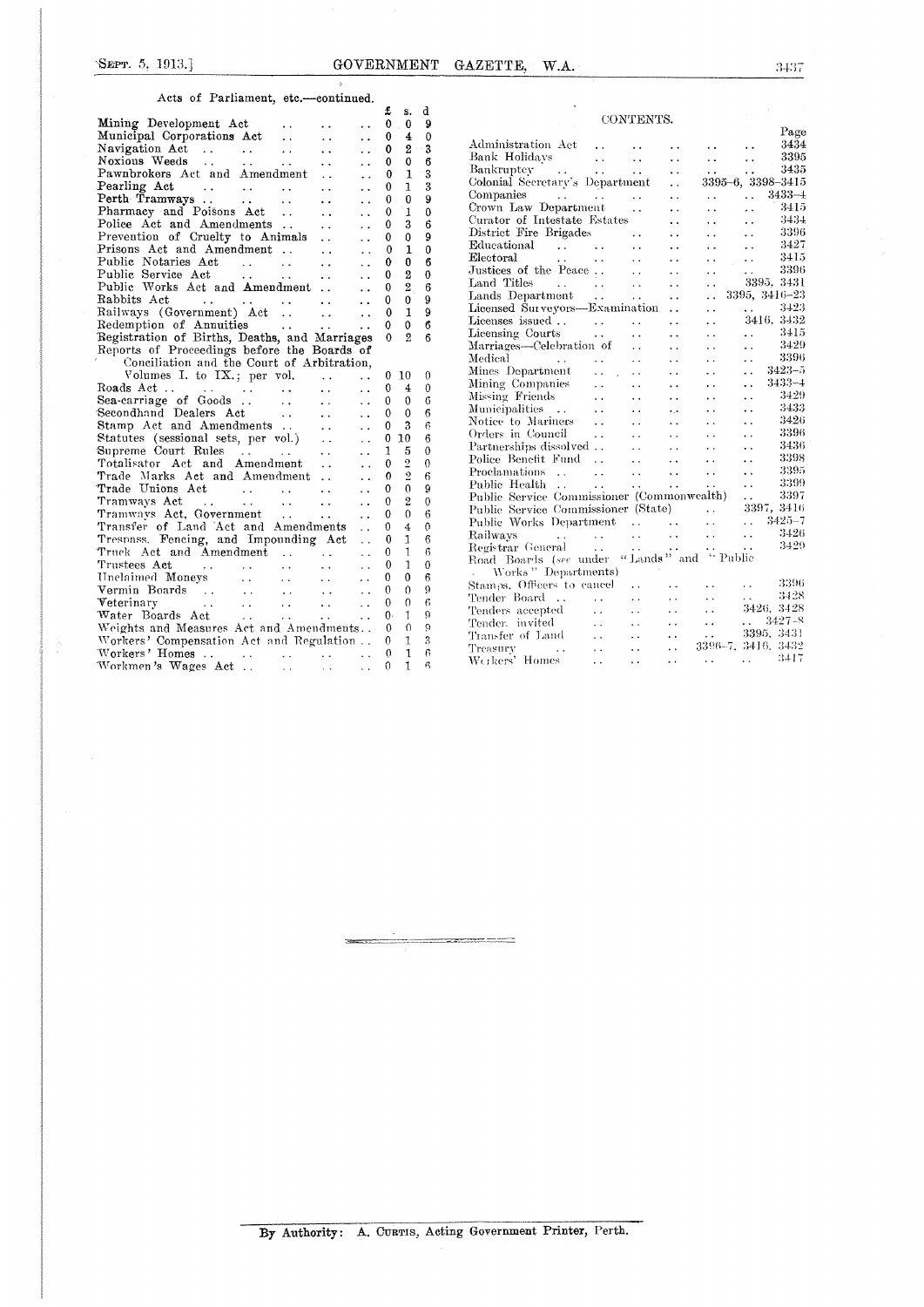Acts of Parliament, etc.—continued.

|                                                                                                                                                                                                                                                         |                                      | £            | d                          |                      |
|---------------------------------------------------------------------------------------------------------------------------------------------------------------------------------------------------------------------------------------------------------|--------------------------------------|--------------|----------------------------|----------------------|
|                                                                                                                                                                                                                                                         |                                      | $\mathbf 0$  | s.<br>9<br>$\bf{0}$        |                      |
| Mining Development Act<br>Municipal Corporations Act                                                                                                                                                                                                    | . .                                  | 0            | $\mathbf 0$<br>4           |                      |
| $\sim$ .                                                                                                                                                                                                                                                | $\ddot{\phantom{0}}$<br>$\mathbf{r}$ | 0            | 3<br>$2 -$                 | Adm:                 |
| Navigation Act<br>Noxious Weeds<br>$\ddotsc$                                                                                                                                                                                                            |                                      | 0            | 6<br>0                     | Bank                 |
| $\sim 10^{-1}$                                                                                                                                                                                                                                          | $\ddot{\phantom{a}}$                 |              | $\mathbf{1}$<br>3          | Bank                 |
| Pawnbrokers Act and Amendment                                                                                                                                                                                                                           | $\ddotsc$                            | 0            | 3                          | Color                |
| Pearling Act<br>Perth Tramways                                                                                                                                                                                                                          | . .                                  | 0            | 1                          | Comp                 |
|                                                                                                                                                                                                                                                         | $\ddot{\phantom{0}}$                 | 0            | 9<br>0                     | Crow                 |
| Pharmacy and Poisons Act                                                                                                                                                                                                                                | $\ddot{\phantom{a}}$                 | ้1<br>0      | $\mathbf{0}$               | Curat                |
| Police Act and Amendments<br>$\sim 100$                                                                                                                                                                                                                 | $\ddot{\phantom{a}}$                 | 0            | 3<br>6                     | $_{\rm Distr}$       |
| Prevention of Cruelty to Animals                                                                                                                                                                                                                        | $\ddot{\phantom{a}}$                 | 0            | 9<br>0                     | Educ                 |
| Prisons Act and Amendment                                                                                                                                                                                                                               | $\ddot{\phantom{a}}$                 | 0            | 1<br>0                     | Elect                |
| Public Notaries Act<br>Public Service Act                                                                                                                                                                                                               | $\ddot{\phantom{0}}$                 | 0            | 6<br>0                     | Justi                |
|                                                                                                                                                                                                                                                         | $\ddot{\phantom{a}}$                 | 0            | 2<br>0                     |                      |
| Public Works Act and Amendment                                                                                                                                                                                                                          | $\ddot{\phantom{a}}$                 | 0            | $\overline{2}$<br>6        | Land                 |
|                                                                                                                                                                                                                                                         | $\ddot{\phantom{a}}$                 | 0            | 9<br>0                     | Land                 |
|                                                                                                                                                                                                                                                         | $\ddot{\phantom{a}}$                 | 0            | 1<br>9                     | Licen                |
| Redemption of Annuities                                                                                                                                                                                                                                 | $\ddot{\phantom{a}}$                 | 0            | 6<br>$\mathbf{0}$          | Licen                |
| Registration of Births, Deaths, and Marriages                                                                                                                                                                                                           |                                      | $\mathbf{0}$ | $\overline{2}$<br>6        | Licen                |
| Reports of Proceedings before the Boards of                                                                                                                                                                                                             |                                      |              |                            | Marri                |
| Conciliation and the Court of Arbitration,                                                                                                                                                                                                              |                                      |              |                            | Medi                 |
| Volumes I. to $IX$ , per vol. $\ldots$                                                                                                                                                                                                                  | $\ddot{\phantom{0}}$                 | $0\quad10$   | 0                          | Mine:                |
| $\sim$ .                                                                                                                                                                                                                                                | $\ddot{\phantom{a}}$                 | 0            | 4<br>0                     | Minir                |
|                                                                                                                                                                                                                                                         | $\ddot{\phantom{0}}$                 | 0            | 0<br>6                     | Missi                |
|                                                                                                                                                                                                                                                         | $\ddot{\phantom{a}}$                 | 0            | $\Omega$<br>6              | Muni                 |
| Stamp Act and Amendments<br>Statutes (sessional sets, per vol.)<br>Supreme Court Rules                                                                                                                                                                  | $\ddot{\phantom{0}}$                 | 0            | 3<br>6                     | Notic                |
|                                                                                                                                                                                                                                                         | $\ddotsc$                            | 0<br>10      | 6                          | $O_{\rm P}$ der      |
|                                                                                                                                                                                                                                                         | $\ddot{\phantom{0}}$                 | 1            | 5<br>$\theta$              | Parti                |
| Totalisator Act and Amendment                                                                                                                                                                                                                           |                                      | 0            | $\overline{2}$<br>0        | Polic                |
| Trade Marks Act and Amendment                                                                                                                                                                                                                           | $\ddot{\phantom{a}}$                 | $\mathbf 0$  | $\overline{2}$<br>6        | $_{\mathrm{Procl}}$  |
|                                                                                                                                                                                                                                                         | $\ddot{\phantom{a}}$                 | 0            | 0<br>9                     | Publi                |
| Trade Unions Act                                                                                                                                                                                                                                        | И.                                   |              | $\overline{2}$<br>$\Omega$ | Publi                |
|                                                                                                                                                                                                                                                         | $\ddot{\phantom{a}}$                 | 0            |                            | Publi                |
|                                                                                                                                                                                                                                                         | $\ddot{\phantom{a}}$                 | 0            | 0<br>6                     | Publi                |
| Transfer of Land Act and Amendments                                                                                                                                                                                                                     | $\ddot{\phantom{a}}$                 | 0            | 4<br>0                     | Raily                |
| Trespass. Fencing, and Impounding Act                                                                                                                                                                                                                   | $\ddot{\phantom{a}}$                 | 0            | 1<br>6                     | Regis                |
| Truck Act and Amendment                                                                                                                                                                                                                                 | $\ddotsc$                            | 0            | 1<br>6                     | Road                 |
| Trustees Act (1999)<br>Unclaimed Moneys (1999)<br>Vermin Boards (1999)<br>1999 - Alexander (1999)<br>1999 - Alexander (1999)<br>1999 - Alexander (1999)<br>1999 - Alexander (1999)<br>1999 - Alexander (1999)<br>1999 - Alexander (1999)<br>1999        | $\ddot{\phantom{a}}$                 | 0            | 1<br>$\mathbf{0}$          | $\sim$ $\sim$ $\sim$ |
|                                                                                                                                                                                                                                                         | $\ddot{\phantom{a}}$                 | 0            | 6<br>0                     |                      |
|                                                                                                                                                                                                                                                         | $\ddotsc$                            | 0            | 9<br>0                     | Stam<br>Tend         |
| Veterinary<br>$\mathcal{L}^{\mathcal{L}}$ . The contract of the contract of the contract of the contract of the contract of the contract of the contract of the contract of the contract of the contract of the contract of the contract of the contrac | $\ddot{\phantom{0}}$                 | 0            | $\epsilon$<br>0            |                      |
| Water Boards Act<br>$\mathcal{L}(\mathcal{A})$ .                                                                                                                                                                                                        | $\mathbf{r}$                         | 0.           | $\mathbf{I}$<br>$\Omega$   | Tend                 |
| Weights and Measures Act and Amendments                                                                                                                                                                                                                 |                                      | $\Omega$     | $\Omega$<br>ö              | Tend                 |
| Workers' Compensation Act and Regulation                                                                                                                                                                                                                |                                      | 0            | 3<br>1                     | Trans                |
|                                                                                                                                                                                                                                                         | $\sim$                               | $\Omega$     | 6<br>1                     | Treas                |
|                                                                                                                                                                                                                                                         | $\sim$ $\sim$                        | 0            | ß<br>1                     | Werk                 |
|                                                                                                                                                                                                                                                         |                                      |              |                            |                      |

| CONTENTS.                                                                                                                                                       |                               |                                                                                          |                      |                                     |                                                                   |  |  |  |
|-----------------------------------------------------------------------------------------------------------------------------------------------------------------|-------------------------------|------------------------------------------------------------------------------------------|----------------------|-------------------------------------|-------------------------------------------------------------------|--|--|--|
|                                                                                                                                                                 |                               |                                                                                          |                      |                                     | Page                                                              |  |  |  |
| Administration Act                                                                                                                                              |                               |                                                                                          |                      |                                     | 3434                                                              |  |  |  |
|                                                                                                                                                                 |                               | $\sim$ .                                                                                 | . .                  | $\ddot{\phantom{0}}$                | 3395                                                              |  |  |  |
|                                                                                                                                                                 |                               | $\sim 100$ .                                                                             | $\ddotsc$            | έ.                                  | 3435<br>$\ddot{\phantom{0}}$                                      |  |  |  |
| Colonial Secretary's Department                                                                                                                                 |                               |                                                                                          | $\ddot{\phantom{a}}$ |                                     | 3395-6, 3398-3415                                                 |  |  |  |
|                                                                                                                                                                 |                               |                                                                                          | τ.                   |                                     | $3433 - 1$<br>$\ddotsc$                                           |  |  |  |
| Crown Law Department                                                                                                                                            |                               | $\ddot{\phantom{a}}$                                                                     | $\ddot{\phantom{a}}$ | $\ddot{\phantom{0}}$                | 3415<br>$\ddot{\phantom{a}}$                                      |  |  |  |
| Curator of Intestate Estates                                                                                                                                    |                               |                                                                                          | $\ddot{\phantom{0}}$ | $\ddot{\phantom{0}}$                | -3434<br>$\ddot{\phantom{0}}$                                     |  |  |  |
| District Fire Brigades                                                                                                                                          |                               | $\sim$ $\sim$                                                                            | $\ddot{\phantom{0}}$ | $\ddot{\phantom{0}}$                | 3396<br>$\ddot{\phantom{a}}$                                      |  |  |  |
| Educational                                                                                                                                                     |                               | $\ddot{\phantom{0}}$                                                                     | $\ddot{\phantom{0}}$ | . .                                 | 3427<br>$\ddot{\phantom{a}}$                                      |  |  |  |
| $\mathcal{A}_{\mathcal{A}}$ , $\mathcal{A}_{\mathcal{A}}$<br>Electoral                                                                                          |                               | $\sim$ $\sim$                                                                            | $\cdot$ .            | έ.                                  | -3415<br>$\ddot{\phantom{0}}$                                     |  |  |  |
| Justices of the Peace                                                                                                                                           |                               | $\sim$ 4.4                                                                               | . .                  | $\ddot{\phantom{a}}$                | 3396<br>$\mathbf{r}$                                              |  |  |  |
| Land Titles                                                                                                                                                     |                               | $\sim$ $\sim$                                                                            | . .                  | $\ddot{\phantom{a}}$                | 3395, 3431                                                        |  |  |  |
|                                                                                                                                                                 |                               | $\sim$ $\sim$                                                                            | μ.                   | $\ddot{\phantom{0}}$                | 3395, 3416-23                                                     |  |  |  |
| Licensed Surveyors-Examination                                                                                                                                  |                               |                                                                                          | $\ddot{\phantom{a}}$ | i.                                  | $\ldots$ 3423                                                     |  |  |  |
|                                                                                                                                                                 |                               | $\sim$ $\star$ $\star$                                                                   | $\ddot{\phantom{a}}$ | $\ddotsc$                           | 3416, 3432                                                        |  |  |  |
|                                                                                                                                                                 |                               | $\sim$                                                                                   | $\ddot{\phantom{0}}$ | $\ddot{\phantom{0}}$                | 3415<br>$\mathbf{r}$                                              |  |  |  |
| Marriages—Celebration of                                                                                                                                        |                               | $\sim$ .                                                                                 | $\ddotsc$            | $\ddot{\phantom{0}}$                | 3429<br>$\ddot{\phantom{a}}$                                      |  |  |  |
| Medical                                                                                                                                                         | $\sim$ 14 $^{\circ}$          | $\sim$ .                                                                                 | $\ddot{\phantom{0}}$ | $\ddot{\phantom{0}}$                | 3396<br>$\ddot{\phantom{a}}$                                      |  |  |  |
| Mines Department                                                                                                                                                | $\mathbf{1} \cdot \mathbf{1}$ | $\sim$ $\sim$                                                                            | š.                   | $\ddot{\phantom{0}}$                | $3423 - 5$<br>$\ddot{\phantom{0}}$                                |  |  |  |
| Mining Companies                                                                                                                                                | $\ddot{\phantom{0}}$          | $\ddotsc$                                                                                | $\ddot{\phantom{0}}$ | . .                                 | $3433 - 4$<br>$\ddot{\phantom{0}}$                                |  |  |  |
| Missing Friends                                                                                                                                                 |                               | $\ddot{\phantom{a}}$                                                                     | Ω.                   | . .                                 | 3429<br>$\ddot{\phantom{0}}$                                      |  |  |  |
| Municipalities                                                                                                                                                  | $\ddot{\phantom{a}}$          | $\ddotsc$                                                                                | $\ddotsc$            | . .                                 | 3433<br>$\ddot{\phantom{0}}$                                      |  |  |  |
| Notice to Mariners                                                                                                                                              | $\ddotsc$                     | $\sim$                                                                                   | $\ddotsc$            | $\ddot{\phantom{0}}$                | 3426<br>$\ddot{\phantom{0}}$                                      |  |  |  |
| Orders in Council                                                                                                                                               | $\ddot{\phantom{a}}$          | $\ddot{\phantom{a}}$                                                                     | $\ddot{\phantom{a}}$ | $\ddot{\phantom{a}}$                | 3396<br>$\ddot{\phantom{a}}$                                      |  |  |  |
| Partnerships dissolved                                                                                                                                          |                               | $\sim$ $\sim$                                                                            | $\ddot{\phantom{0}}$ | τ.                                  | 3436<br>$\ddot{\phantom{0}}$                                      |  |  |  |
| Police Benefit Fund                                                                                                                                             |                               | $\sim 1$                                                                                 | $\sim$ $\sim$        | $\ddot{\phantom{a}}$                | 3398<br>$\ddot{\phantom{a}}$                                      |  |  |  |
| Proclamations                                                                                                                                                   | <b>Contract</b>               | $\sim 10$                                                                                | $\sim$ $\sim$        | $\ddotsc$                           | -3395<br>$\ddotsc$                                                |  |  |  |
| Public Health                                                                                                                                                   | $\sim$ 10 $\pm$ 1             | $\mathcal{L}^{\text{max}}$ and $\mathcal{L}^{\text{max}}$ and $\mathcal{L}^{\text{max}}$ |                      | $\ddotsc$                           | 3399<br>$\ddot{\phantom{a}}$                                      |  |  |  |
| Public Service Commissioner (Commonwealth)  3399<br>Public Service Commissioner (Commonwealth)  3397<br>Public Nicola District Commissioner (State)  3397, 3416 |                               |                                                                                          |                      |                                     |                                                                   |  |  |  |
|                                                                                                                                                                 |                               |                                                                                          |                      |                                     |                                                                   |  |  |  |
| Public Works Department                                                                                                                                         |                               |                                                                                          |                      |                                     | $3425 - 7$<br>$\sim 100$                                          |  |  |  |
| Railways                                                                                                                                                        |                               | $\sim 10^{-1}$                                                                           |                      |                                     | 3426<br>$\ddot{\phantom{a}}$ .                                    |  |  |  |
| Railways<br>Registrar General                                                                                                                                   |                               |                                                                                          |                      | aan sa barangan.<br>Aan sa barangan | 3429<br>$\ddot{\phantom{0}}$                                      |  |  |  |
| Road Boards (see under "Lands" and "Public                                                                                                                      |                               |                                                                                          |                      |                                     |                                                                   |  |  |  |
| . Works "Departments)                                                                                                                                           |                               |                                                                                          |                      |                                     |                                                                   |  |  |  |
| Stamps, Officers to cancel                                                                                                                                      |                               |                                                                                          | $\ddot{\phantom{a}}$ | $\ddot{\phantom{a}}$                | 3396<br>$\mathbf{r}$ , $\mathbf{r}$ , $\mathbf{r}$ , $\mathbf{r}$ |  |  |  |
| Tender Board                                                                                                                                                    | <b>Contract Contract</b>      | $\sim$ $\sim$                                                                            | $\ddot{\phantom{0}}$ | $\ddot{\phantom{a}}$                | 3428<br>$\mathbf{L}$                                              |  |  |  |
| Tenders accepted                                                                                                                                                | $\ddot{\phantom{a}}$          | $\ddot{\phantom{0}}$                                                                     | $\ddot{\phantom{a}}$ | $\ddot{\phantom{a}}$                | 3426, 3428                                                        |  |  |  |
| Tender invited                                                                                                                                                  | $\sim 10^{-1}$                |                                                                                          | $\ddot{\phantom{a}}$ | $\ddot{\phantom{0}}$                | $\ldots$ 3427-8                                                   |  |  |  |
| Transfer of Land                                                                                                                                                |                               | $\ddot{\phantom{0}}$                                                                     | i.                   | $\ddot{\phantom{1}}$                | 3395, 3431                                                        |  |  |  |
| Treasury                                                                                                                                                        | $\sim$ $\sim$                 | $\ddot{\phantom{0}}$                                                                     | $\ddot{\phantom{0}}$ |                                     | 3396-7, 3416, 3432                                                |  |  |  |
| Werkers' Homes                                                                                                                                                  | $\ddot{\phantom{0}}$          | $\ddot{\phantom{0}}$                                                                     | $\cdot$              | $\mathbf{r}$ , $\mathbf{r}$         | 3417<br>$\mathbf{L}$ and $\mathbf{L}$                             |  |  |  |
|                                                                                                                                                                 |                               |                                                                                          |                      |                                     |                                                                   |  |  |  |